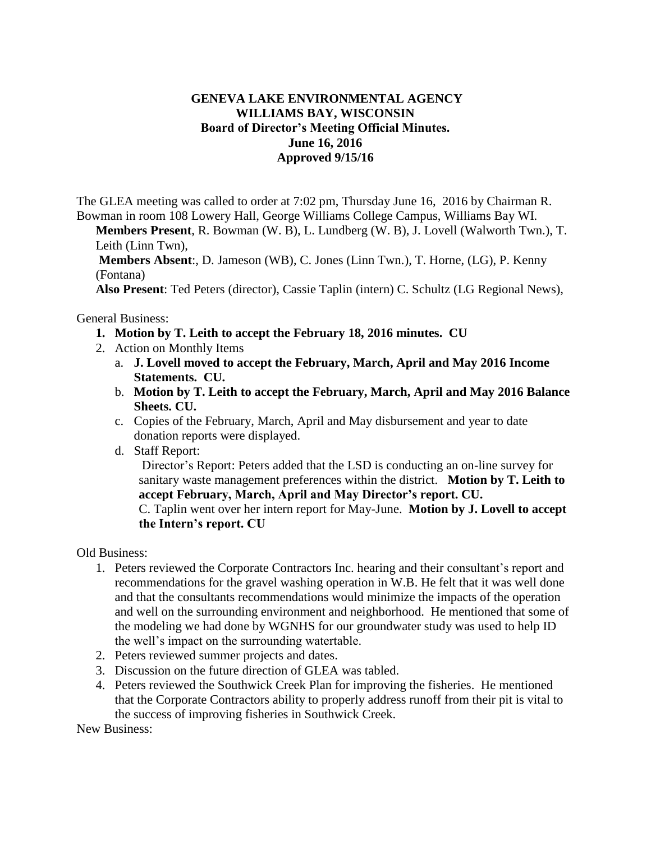## **GENEVA LAKE ENVIRONMENTAL AGENCY WILLIAMS BAY, WISCONSIN Board of Director's Meeting Official Minutes. June 16, 2016 Approved 9/15/16**

The GLEA meeting was called to order at 7:02 pm, Thursday June 16, 2016 by Chairman R. Bowman in room 108 Lowery Hall, George Williams College Campus, Williams Bay WI.

**Members Present**, R. Bowman (W. B), L. Lundberg (W. B), J. Lovell (Walworth Twn.), T. Leith (Linn Twn),

**Members Absent**:, D. Jameson (WB), C. Jones (Linn Twn.), T. Horne, (LG), P. Kenny (Fontana)

**Also Present**: Ted Peters (director), Cassie Taplin (intern) C. Schultz (LG Regional News),

General Business:

- **1. Motion by T. Leith to accept the February 18, 2016 minutes. CU**
- 2. Action on Monthly Items
	- a. **J. Lovell moved to accept the February, March, April and May 2016 Income Statements. CU.**
	- b. **Motion by T. Leith to accept the February, March, April and May 2016 Balance Sheets. CU.**
	- c. Copies of the February, March, April and May disbursement and year to date donation reports were displayed.
	- d. Staff Report:

Director's Report: Peters added that the LSD is conducting an on-line survey for sanitary waste management preferences within the district. **Motion by T. Leith to accept February, March, April and May Director's report. CU.**

C. Taplin went over her intern report for May-June. **Motion by J. Lovell to accept the Intern's report. CU**

Old Business:

- 1. Peters reviewed the Corporate Contractors Inc. hearing and their consultant's report and recommendations for the gravel washing operation in W.B. He felt that it was well done and that the consultants recommendations would minimize the impacts of the operation and well on the surrounding environment and neighborhood. He mentioned that some of the modeling we had done by WGNHS for our groundwater study was used to help ID the well's impact on the surrounding watertable.
- 2. Peters reviewed summer projects and dates.
- 3. Discussion on the future direction of GLEA was tabled.
- 4. Peters reviewed the Southwick Creek Plan for improving the fisheries. He mentioned that the Corporate Contractors ability to properly address runoff from their pit is vital to the success of improving fisheries in Southwick Creek.

New Business: